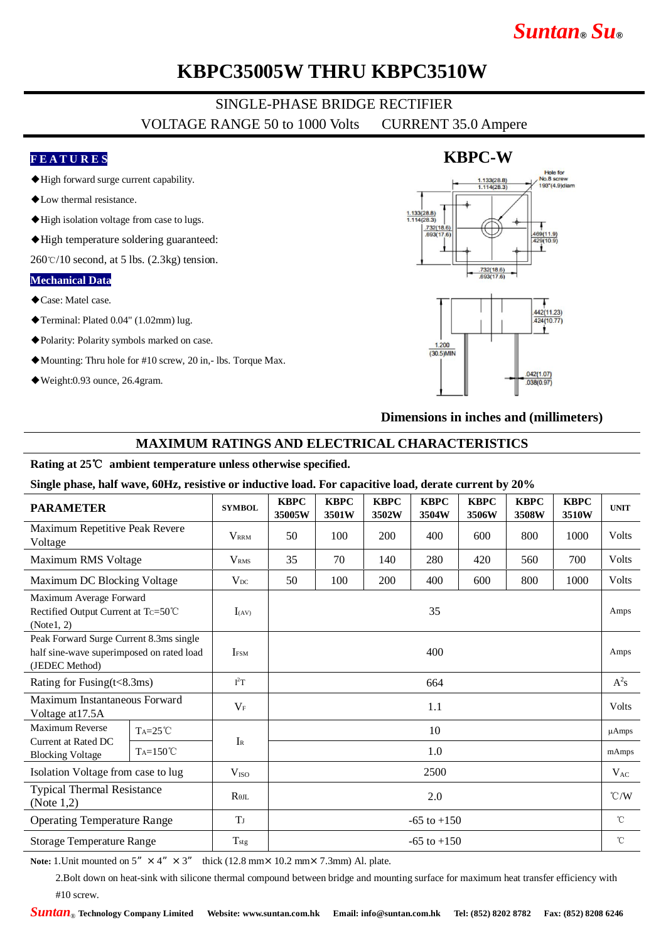## *Suntan***®** *Su***®**

### **KBPC35005W THRU KBPC3510W**

# SINGLE-PHASE BRIDGE RECTIFIER

VOLTAGE RANGE 50 to 1000 Volts CURRENT 35.0 Ampere

#### **F E A T U R E S**

- ◆High forward surge current capability.
- ◆Low thermal resistance.
- ◆High isolation voltage from case to lugs.
- ◆High temperature soldering guaranteed:

 $260\degree$ C/10 second, at 5 lbs. (2.3kg) tension.

#### **Mechanical Data**

- ◆Case: Matel case.
- ◆Terminal: Plated 0.04" (1.02mm) lug.
- ◆Polarity: Polarity symbols marked on case.
- ◆Mounting: Thru hole for #10 screw, 20 in,- lbs. Torque Max.
- ◆Weight:0.93 ounce, 26.4gram.



#### **Dimensions in inches and (millimeters)**

#### **MAXIMUM RATINGS AND ELECTRICAL CHARACTERISTICS**

#### **Rating at 25**℃ **ambient temperature unless otherwise specified.**

**Single phase, half wave, 60Hz, resistive or inductive load. For capacitive load, derate current by 20%**

| <b>PARAMETER</b>                                                                                       |                   | <b>SYMBOL</b>           | <b>KBPC</b><br>35005W | <b>KBPC</b><br>3501W | <b>KBPC</b><br>3502W | <b>KBPC</b><br>3504W | <b>KBPC</b><br>3506W | <b>KBPC</b><br>3508W | <b>KBPC</b><br>3510W | <b>UNIT</b>     |
|--------------------------------------------------------------------------------------------------------|-------------------|-------------------------|-----------------------|----------------------|----------------------|----------------------|----------------------|----------------------|----------------------|-----------------|
| Maximum Repetitive Peak Revere<br>Voltage                                                              |                   | <b>VRRM</b>             | 50                    | 100                  | 200                  | 400                  | 600                  | 800                  | 1000                 | Volts           |
| Maximum RMS Voltage                                                                                    |                   | <b>V</b> <sub>RMS</sub> | 35                    | 70                   | 140                  | 280                  | 420                  | 560                  | 700                  | Volts           |
| Maximum DC Blocking Voltage                                                                            |                   | $V_{DC}$                | 50                    | 100                  | 200                  | 400                  | 600                  | 800                  | 1000                 | Volts           |
| Maximum Average Forward<br>Rectified Output Current at Tc=50℃<br>(Note1, 2)                            |                   | $I_{(AV)}$              | 35                    |                      |                      |                      |                      |                      |                      | Amps            |
| Peak Forward Surge Current 8.3ms single<br>half sine-wave superimposed on rated load<br>(JEDEC Method) |                   | $I$ <sub>FSM</sub>      | 400                   |                      |                      |                      |                      |                      |                      | Amps            |
| Rating for Fusing $(t<8.3ms)$                                                                          |                   | $I^2T$                  | 664                   |                      |                      |                      |                      |                      |                      | $A^2s$          |
| Maximum Instantaneous Forward<br>Voltage at 17.5A                                                      |                   | $V_F$                   | 1.1                   |                      |                      |                      |                      |                      |                      | Volts           |
| Maximum Reverse<br>Current at Rated DC<br><b>Blocking Voltage</b>                                      | $Ta=25^{\circ}C$  |                         | 10                    |                      |                      |                      |                      |                      |                      | $\mu$ Amps      |
|                                                                                                        | $Ta=150^{\circ}C$ | $I_{R}$                 | 1.0                   |                      |                      |                      |                      |                      |                      | mAmps           |
| Isolation Voltage from case to lug                                                                     |                   | V <sub>ISO</sub>        | 2500                  |                      |                      |                      |                      |                      |                      | $V_{AC}$        |
| <b>Typical Thermal Resistance</b><br>(Note $1,2$ )                                                     |                   | $R_{\theta IL}$         | 2.0                   |                      |                      |                      |                      |                      |                      | $\mathcal{C}/W$ |
| <b>Operating Temperature Range</b>                                                                     |                   | <b>T</b> <sub>J</sub>   | $-65$ to $+150$       |                      |                      |                      |                      |                      |                      | $^{\circ}$ C    |
| <b>Storage Temperature Range</b>                                                                       |                   | $T_{\rm{stg}}$          | $-65$ to $+150$       |                      |                      |                      |                      |                      |                      | $^{\circ}C$     |

**Note:** 1. Unit mounted on  $5'' \times 4'' \times 3''$  thick (12.8 mm × 10.2 mm × 7.3mm) Al. plate.

2.Bolt down on heat-sink with silicone thermal compound between bridge and mounting surface for maximum heat transfer efficiency with #10 screw.